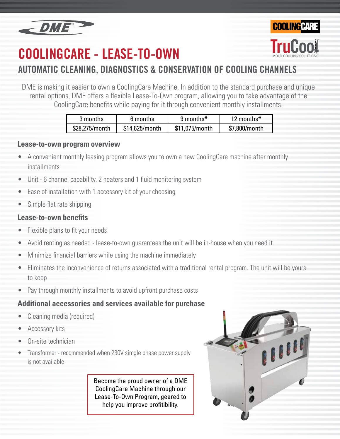

# **COOLINGCARE - LEASE-TO-OWN**



DME is making it easier to own a CoolingCare Machine. In addition to the standard purchase and unique rental options, DME offers a flexible Lease-To-Own program, allowing you to take advantage of the CoolingCare benefits while paying for it through convenient monthly installments.

| 3 months       | 6 months       | $9$ months <sup>*</sup> | 12 months $*$ |
|----------------|----------------|-------------------------|---------------|
| \$28,275/month | \$14,625/month | \$11,075/month          | \$7,800/month |

#### **Lease-to-own program overview**

- A convenient monthly leasing program allows you to own a new CoolingCare machine after monthly installments
- Unit 6 channel capability, 2 heaters and 1 fluid monitoring system
- Ease of installation with 1 accessory kit of your choosing
- Simple flat rate shipping

#### **Lease-to-own benefits**

- Flexible plans to fit your needs
- Avoid renting as needed lease-to-own guarantees the unit will be in-house when you need it
- Minimize financial barriers while using the machine immediately
- Eliminates the inconvenience of returns associated with a traditional rental program. The unit will be yours to keep
- Pay through monthly installments to avoid upfront purchase costs

### **Additional accessories and services available for purchase**

- Cleaning media (required)
- Accessory kits
- On-site technician
- Transformer recommended when 230V simgle phase power supply is not available

Become the proud owner of a DME CoolingCare Machine through our Lease-To-Own Program, geared to help you improve profitibility.



**COOLING CAR**